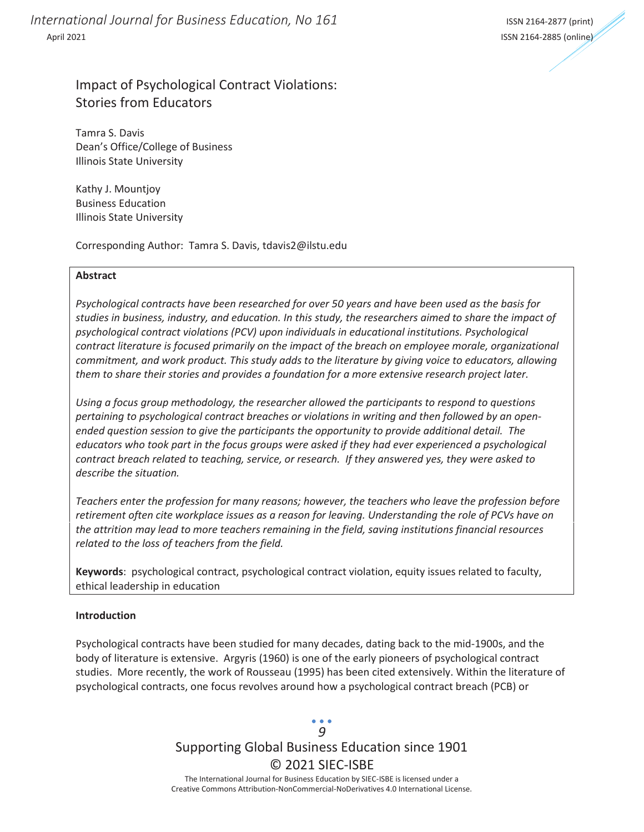*International Journal for Business Education, No 161* **International International Journal for Business Education, No 161** April 2021 ISSN 2164-2885 (online)



### Impact of Psychological Contract Violations: Stories from Educators

Tamra S. Davis Dean's Office/College of Business Illinois State University

Kathy J. Mountjoy Business Education Illinois State University

Corresponding Author: Tamra S. Davis, tdavis2@ilstu.edu

### **Abstract**

*Psychological contracts have been researched for over 50 years and have been used as the basis for studies in business, industry, and education. In this study, the researchers aimed to share the impact of psychological contract violations (PCV) upon individuals in educational institutions. Psychological contract literature is focused primarily on the impact of the breach on employee morale, organizational commitment, and work product. This study adds to the literature by giving voice to educators, allowing them to share their stories and provides a foundation for a more extensive research project later.* 

*Using a focus group methodology, the researcher allowed the participants to respond to questions pertaining to psychological contract breaches or violations in writing and then followed by an openended question session to give the participants the opportunity to provide additional detail. The educators who took part in the focus groups were asked if they had ever experienced a psychological contract breach related to teaching, service, or research. If they answered yes, they were asked to describe the situation.* 

*Teachers enter the profession for many reasons; however, the teachers who leave the profession before retirement often cite workplace issues as a reason for leaving. Understanding the role of PCVs have on the attrition may lead to more teachers remaining in the field, saving institutions financial resources related to the loss of teachers from the field.* 

**Keywords**: psychological contract, psychological contract violation, equity issues related to faculty, ethical leadership in education

#### **Introduction**

Psychological contracts have been studied for many decades, dating back to the mid-1900s, and the body of literature is extensive. Argyris (1960) is one of the early pioneers of psychological contract studies. More recently, the work of Rousseau (1995) has been cited extensively. Within the literature of psychological contracts, one focus revolves around how a psychological contract breach (PCB) or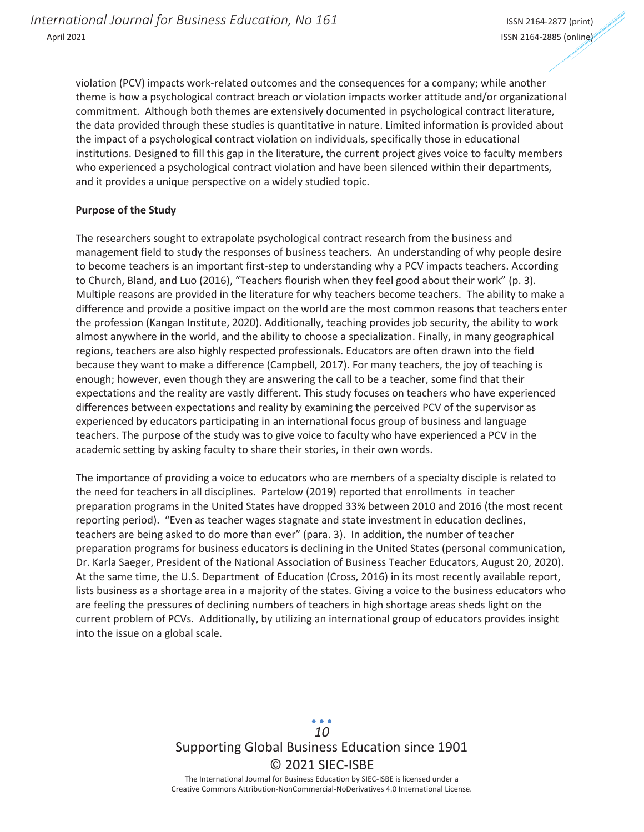violation (PCV) impacts work-related outcomes and the consequences for a company; while another theme is how a psychological contract breach or violation impacts worker attitude and/or organizational commitment. Although both themes are extensively documented in psychological contract literature, the data provided through these studies is quantitative in nature. Limited information is provided about the impact of a psychological contract violation on individuals, specifically those in educational institutions. Designed to fill this gap in the literature, the current project gives voice to faculty members who experienced a psychological contract violation and have been silenced within their departments, and it provides a unique perspective on a widely studied topic.

### **Purpose of the Study**

The researchers sought to extrapolate psychological contract research from the business and management field to study the responses of business teachers. An understanding of why people desire to become teachers is an important first-step to understanding why a PCV impacts teachers. According to Church, Bland, and Luo (2016), "Teachers flourish when they feel good about their work" (p. 3). Multiple reasons are provided in the literature for why teachers become teachers. The ability to make a difference and provide a positive impact on the world are the most common reasons that teachers enter the profession (Kangan Institute, 2020). Additionally, teaching provides job security, the ability to work almost anywhere in the world, and the ability to choose a specialization. Finally, in many geographical regions, teachers are also highly respected professionals. Educators are often drawn into the field because they want to make a difference (Campbell, 2017). For many teachers, the joy of teaching is enough; however, even though they are answering the call to be a teacher, some find that their expectations and the reality are vastly different. This study focuses on teachers who have experienced differences between expectations and reality by examining the perceived PCV of the supervisor as experienced by educators participating in an international focus group of business and language teachers. The purpose of the study was to give voice to faculty who have experienced a PCV in the academic setting by asking faculty to share their stories, in their own words.

The importance of providing a voice to educators who are members of a specialty disciple is related to the need for teachers in all disciplines. Partelow (2019) reported that enrollments in teacher preparation programs in the United States have dropped 33% between 2010 and 2016 (the most recent reporting period). "Even as teacher wages stagnate and state investment in education declines, teachers are being asked to do more than ever" (para. 3). In addition, the number of teacher preparation programs for business educators is declining in the United States (personal communication, Dr. Karla Saeger, President of the National Association of Business Teacher Educators, August 20, 2020). At the same time, the U.S. Department of Education (Cross, 2016) in its most recently available report, lists business as a shortage area in a majority of the states. Giving a voice to the business educators who are feeling the pressures of declining numbers of teachers in high shortage areas sheds light on the current problem of PCVs. Additionally, by utilizing an international group of educators provides insight into the issue on a global scale.

> Supporting Global Business Education since 1901 © 2021 SIEC-ISBE The International Journal for Business Education by SIEC-ISBE is licensed under a *10*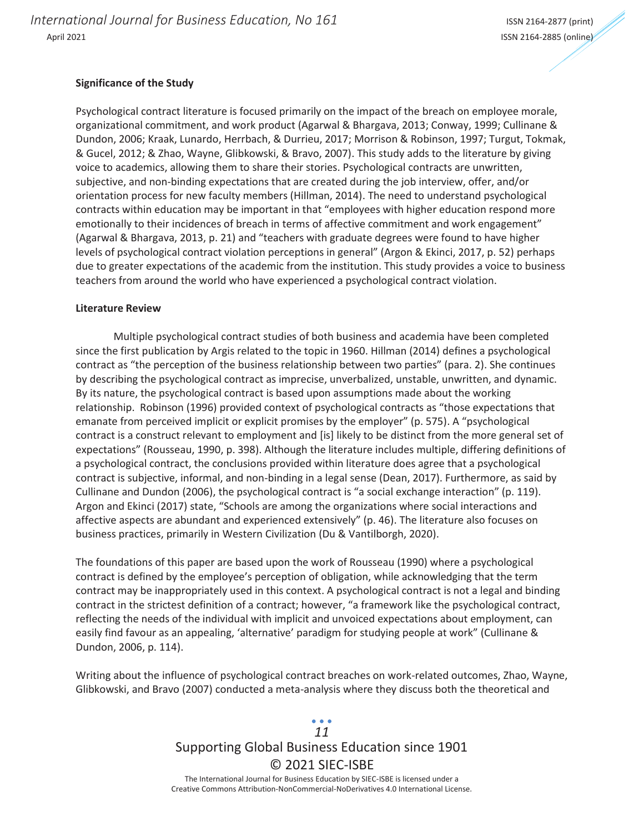### **Significance of the Study**

Psychological contract literature is focused primarily on the impact of the breach on employee morale, organizational commitment, and work product (Agarwal & Bhargava, 2013; Conway, 1999; Cullinane & Dundon, 2006; Kraak, Lunardo, Herrbach, & Durrieu, 2017; Morrison & Robinson, 1997; Turgut, Tokmak, & Gucel, 2012; & Zhao, Wayne, Glibkowski, & Bravo, 2007). This study adds to the literature by giving voice to academics, allowing them to share their stories. Psychological contracts are unwritten, subjective, and non-binding expectations that are created during the job interview, offer, and/or orientation process for new faculty members (Hillman, 2014). The need to understand psychological contracts within education may be important in that "employees with higher education respond more emotionally to their incidences of breach in terms of affective commitment and work engagement" (Agarwal & Bhargava, 2013, p. 21) and "teachers with graduate degrees were found to have higher levels of psychological contract violation perceptions in general" (Argon & Ekinci, 2017, p. 52) perhaps due to greater expectations of the academic from the institution. This study provides a voice to business teachers from around the world who have experienced a psychological contract violation.

#### **Literature Review**

Multiple psychological contract studies of both business and academia have been completed since the first publication by Argis related to the topic in 1960. Hillman (2014) defines a psychological contract as "the perception of the business relationship between two parties" (para. 2). She continues by describing the psychological contract as imprecise, unverbalized, unstable, unwritten, and dynamic. By its nature, the psychological contract is based upon assumptions made about the working relationship. Robinson (1996) provided context of psychological contracts as "those expectations that emanate from perceived implicit or explicit promises by the employer" (p. 575). A "psychological contract is a construct relevant to employment and [is] likely to be distinct from the more general set of expectations" (Rousseau, 1990, p. 398). Although the literature includes multiple, differing definitions of a psychological contract, the conclusions provided within literature does agree that a psychological contract is subjective, informal, and non-binding in a legal sense (Dean, 2017). Furthermore, as said by Cullinane and Dundon (2006), the psychological contract is "a social exchange interaction" (p. 119). Argon and Ekinci (2017) state, "Schools are among the organizations where social interactions and affective aspects are abundant and experienced extensively" (p. 46). The literature also focuses on business practices, primarily in Western Civilization (Du & Vantilborgh, 2020).

The foundations of this paper are based upon the work of Rousseau (1990) where a psychological contract is defined by the employee's perception of obligation, while acknowledging that the term contract may be inappropriately used in this context. A psychological contract is not a legal and binding contract in the strictest definition of a contract; however, "a framework like the psychological contract, reflecting the needs of the individual with implicit and unvoiced expectations about employment, can easily find favour as an appealing, 'alternative' paradigm for studying people at work" (Cullinane & Dundon, 2006, p. 114).

Writing about the influence of psychological contract breaches on work-related outcomes, Zhao, Wayne, Glibkowski, and Bravo (2007) conducted a meta-analysis where they discuss both the theoretical and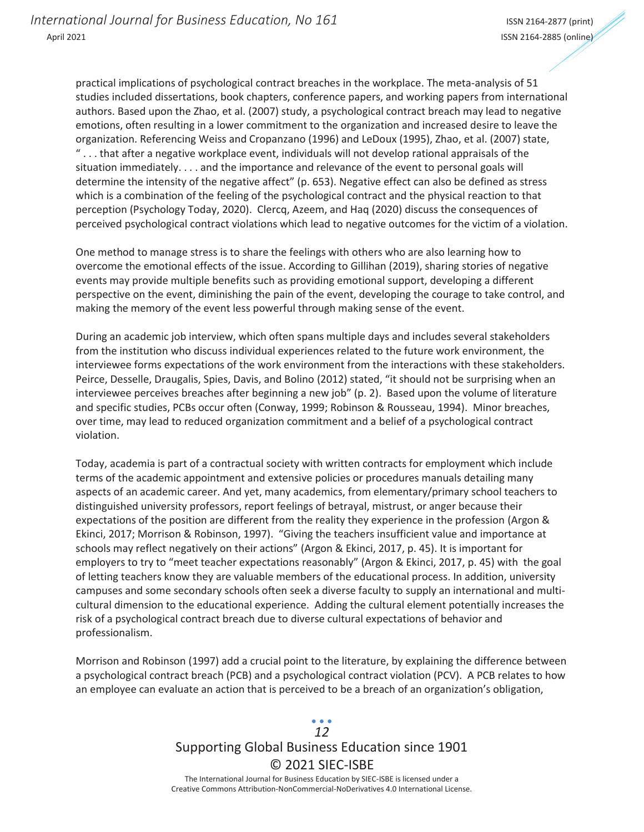practical implications of psychological contract breaches in the workplace. The meta-analysis of 51 studies included dissertations, book chapters, conference papers, and working papers from international authors. Based upon the Zhao, et al. (2007) study, a psychological contract breach may lead to negative emotions, often resulting in a lower commitment to the organization and increased desire to leave the organization. Referencing Weiss and Cropanzano (1996) and LeDoux (1995), Zhao, et al. (2007) state, " . . . that after a negative workplace event, individuals will not develop rational appraisals of the situation immediately. . . . and the importance and relevance of the event to personal goals will determine the intensity of the negative affect" (p. 653). Negative effect can also be defined as stress which is a combination of the feeling of the psychological contract and the physical reaction to that perception (Psychology Today, 2020). Clercq, Azeem, and Haq (2020) discuss the consequences of perceived psychological contract violations which lead to negative outcomes for the victim of a violation.

One method to manage stress is to share the feelings with others who are also learning how to overcome the emotional effects of the issue. According to Gillihan (2019), sharing stories of negative events may provide multiple benefits such as providing emotional support, developing a different perspective on the event, diminishing the pain of the event, developing the courage to take control, and making the memory of the event less powerful through making sense of the event.

During an academic job interview, which often spans multiple days and includes several stakeholders from the institution who discuss individual experiences related to the future work environment, the interviewee forms expectations of the work environment from the interactions with these stakeholders. Peirce, Desselle, Draugalis, Spies, Davis, and Bolino (2012) stated, "it should not be surprising when an interviewee perceives breaches after beginning a new job" (p. 2). Based upon the volume of literature and specific studies, PCBs occur often (Conway, 1999; Robinson & Rousseau, 1994). Minor breaches, over time, may lead to reduced organization commitment and a belief of a psychological contract violation.

Today, academia is part of a contractual society with written contracts for employment which include terms of the academic appointment and extensive policies or procedures manuals detailing many aspects of an academic career. And yet, many academics, from elementary/primary school teachers to distinguished university professors, report feelings of betrayal, mistrust, or anger because their expectations of the position are different from the reality they experience in the profession (Argon & Ekinci, 2017; Morrison & Robinson, 1997). "Giving the teachers insufficient value and importance at schools may reflect negatively on their actions" (Argon & Ekinci, 2017, p. 45). It is important for employers to try to "meet teacher expectations reasonably" (Argon & Ekinci, 2017, p. 45) with the goal of letting teachers know they are valuable members of the educational process. In addition, university campuses and some secondary schools often seek a diverse faculty to supply an international and multicultural dimension to the educational experience. Adding the cultural element potentially increases the risk of a psychological contract breach due to diverse cultural expectations of behavior and professionalism.

Morrison and Robinson (1997) add a crucial point to the literature, by explaining the difference between a psychological contract breach (PCB) and a psychological contract violation (PCV). A PCB relates to how an employee can evaluate an action that is perceived to be a breach of an organization's obligation,

### Supporting Global Business Education since 1901 © 2021 SIEC-ISBE The International Journal for Business Education by SIEC-ISBE is licensed under a *12*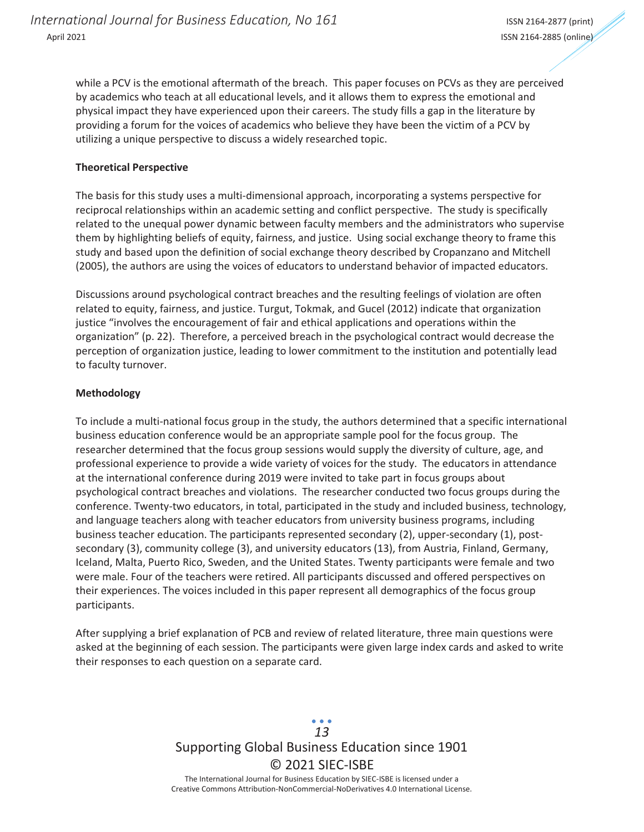while a PCV is the emotional aftermath of the breach. This paper focuses on PCVs as they are perceived by academics who teach at all educational levels, and it allows them to express the emotional and physical impact they have experienced upon their careers. The study fills a gap in the literature by providing a forum for the voices of academics who believe they have been the victim of a PCV by utilizing a unique perspective to discuss a widely researched topic.

### **Theoretical Perspective**

The basis for this study uses a multi-dimensional approach, incorporating a systems perspective for reciprocal relationships within an academic setting and conflict perspective. The study is specifically related to the unequal power dynamic between faculty members and the administrators who supervise them by highlighting beliefs of equity, fairness, and justice. Using social exchange theory to frame this study and based upon the definition of social exchange theory described by Cropanzano and Mitchell (2005), the authors are using the voices of educators to understand behavior of impacted educators.

Discussions around psychological contract breaches and the resulting feelings of violation are often related to equity, fairness, and justice. Turgut, Tokmak, and Gucel (2012) indicate that organization justice "involves the encouragement of fair and ethical applications and operations within the organization" (p. 22). Therefore, a perceived breach in the psychological contract would decrease the perception of organization justice, leading to lower commitment to the institution and potentially lead to faculty turnover.

### **Methodology**

To include a multi-national focus group in the study, the authors determined that a specific international business education conference would be an appropriate sample pool for the focus group. The researcher determined that the focus group sessions would supply the diversity of culture, age, and professional experience to provide a wide variety of voices for the study. The educators in attendance at the international conference during 2019 were invited to take part in focus groups about psychological contract breaches and violations. The researcher conducted two focus groups during the conference. Twenty-two educators, in total, participated in the study and included business, technology, and language teachers along with teacher educators from university business programs, including business teacher education. The participants represented secondary (2), upper-secondary (1), postsecondary (3), community college (3), and university educators (13), from Austria, Finland, Germany, Iceland, Malta, Puerto Rico, Sweden, and the United States. Twenty participants were female and two were male. Four of the teachers were retired. All participants discussed and offered perspectives on their experiences. The voices included in this paper represent all demographics of the focus group participants.

After supplying a brief explanation of PCB and review of related literature, three main questions were asked at the beginning of each session. The participants were given large index cards and asked to write their responses to each question on a separate card.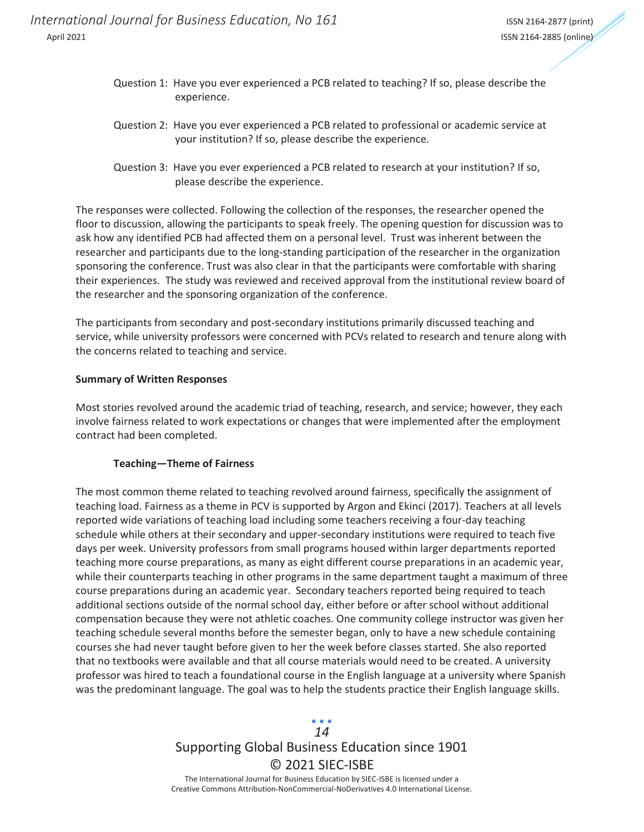*International Journal for Business Education, No 161* **International International Journal for Business Education, No 161** April 2021 ISSN 2164-2885 (online)

- Question 1: Have you ever experienced a PCB related to teaching? If so, please describe the experience.
- Question 2: Have you ever experienced a PCB related to professional or academic service at your institution? If so, please describe the experience.
- Question 3: Have you ever experienced a PCB related to research at your institution? If so, please describe the experience.

The responses were collected. Following the collection of the responses, the researcher opened the floor to discussion, allowing the participants to speak freely. The opening question for discussion was to ask how any identified PCB had affected them on a personal level. Trust was inherent between the researcher and participants due to the long-standing participation of the researcher in the organization sponsoring the conference. Trust was also clear in that the participants were comfortable with sharing their experiences. The study was reviewed and received approval from the institutional review board of the researcher and the sponsoring organization of the conference.

The participants from secondary and post-secondary institutions primarily discussed teaching and service, while university professors were concerned with PCVs related to research and tenure along with the concerns related to teaching and service.

### **Summary of Written Responses**

Most stories revolved around the academic triad of teaching, research, and service; however, they each involve fairness related to work expectations or changes that were implemented after the employment contract had been completed.

#### **Teaching—Theme of Fairness**

The most common theme related to teaching revolved around fairness, specifically the assignment of teaching load. Fairness as a theme in PCV is supported by Argon and Ekinci (2017). Teachers at all levels reported wide variations of teaching load including some teachers receiving a four-day teaching schedule while others at their secondary and upper-secondary institutions were required to teach five days per week. University professors from small programs housed within larger departments reported teaching more course preparations, as many as eight different course preparations in an academic year, while their counterparts teaching in other programs in the same department taught a maximum of three course preparations during an academic year. Secondary teachers reported being required to teach additional sections outside of the normal school day, either before or after school without additional compensation because they were not athletic coaches. One community college instructor was given her teaching schedule several months before the semester began, only to have a new schedule containing courses she had never taught before given to her the week before classes started. She also reported that no textbooks were available and that all course materials would need to be created. A university professor was hired to teach a foundational course in the English language at a university where Spanish was the predominant language. The goal was to help the students practice their English language skills.

# Supporting Global Business Education since 1901 © 2021 SIEC-ISBE *14*

The International Journal for Business Education by SIEC-ISBE is licensed under a Creative Commons Attribution-NonCommercial-NoDerivatives 4.0 International License.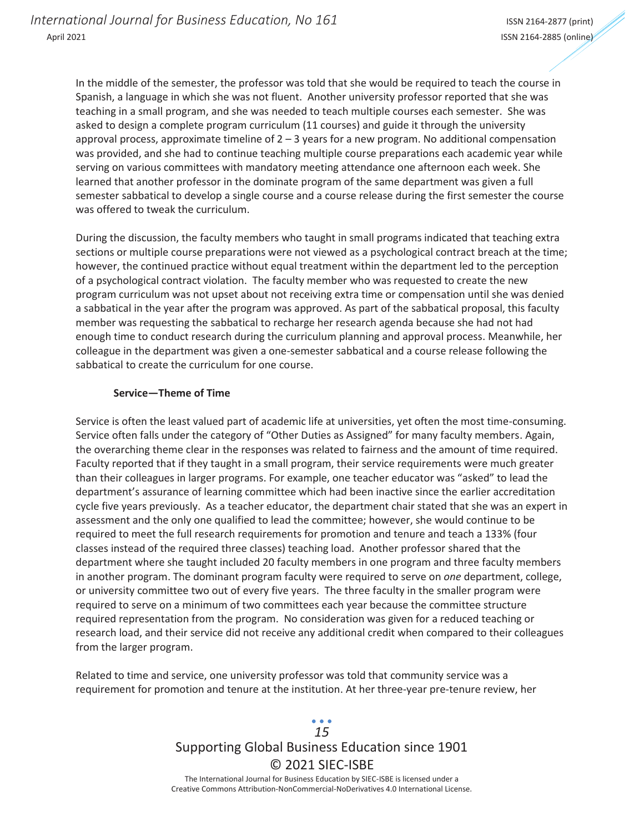In the middle of the semester, the professor was told that she would be required to teach the course in Spanish, a language in which she was not fluent. Another university professor reported that she was teaching in a small program, and she was needed to teach multiple courses each semester. She was asked to design a complete program curriculum (11 courses) and guide it through the university approval process, approximate timeline of  $2 - 3$  years for a new program. No additional compensation was provided, and she had to continue teaching multiple course preparations each academic year while serving on various committees with mandatory meeting attendance one afternoon each week. She learned that another professor in the dominate program of the same department was given a full semester sabbatical to develop a single course and a course release during the first semester the course was offered to tweak the curriculum.

During the discussion, the faculty members who taught in small programs indicated that teaching extra sections or multiple course preparations were not viewed as a psychological contract breach at the time; however, the continued practice without equal treatment within the department led to the perception of a psychological contract violation. The faculty member who was requested to create the new program curriculum was not upset about not receiving extra time or compensation until she was denied a sabbatical in the year after the program was approved. As part of the sabbatical proposal, this faculty member was requesting the sabbatical to recharge her research agenda because she had not had enough time to conduct research during the curriculum planning and approval process. Meanwhile, her colleague in the department was given a one-semester sabbatical and a course release following the sabbatical to create the curriculum for one course.

### **Service—Theme of Time**

Service is often the least valued part of academic life at universities, yet often the most time-consuming. Service often falls under the category of "Other Duties as Assigned" for many faculty members. Again, the overarching theme clear in the responses was related to fairness and the amount of time required. Faculty reported that if they taught in a small program, their service requirements were much greater than their colleagues in larger programs. For example, one teacher educator was "asked" to lead the department's assurance of learning committee which had been inactive since the earlier accreditation cycle five years previously. As a teacher educator, the department chair stated that she was an expert in assessment and the only one qualified to lead the committee; however, she would continue to be required to meet the full research requirements for promotion and tenure and teach a 133% (four classes instead of the required three classes) teaching load. Another professor shared that the department where she taught included 20 faculty members in one program and three faculty members in another program. The dominant program faculty were required to serve on *one* department, college, or university committee two out of every five years. The three faculty in the smaller program were required to serve on a minimum of two committees each year because the committee structure required representation from the program. No consideration was given for a reduced teaching or research load, and their service did not receive any additional credit when compared to their colleagues from the larger program.

Related to time and service, one university professor was told that community service was a requirement for promotion and tenure at the institution. At her three-year pre-tenure review, her

### Supporting Global Business Education since 1901 © 2021 SIEC-ISBE The International Journal for Business Education by SIEC-ISBE is licensed under a *15*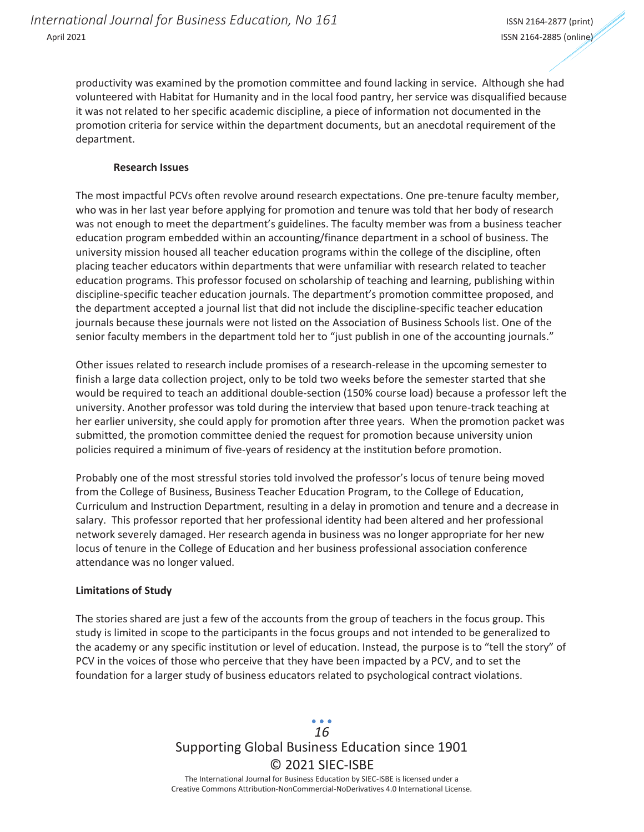productivity was examined by the promotion committee and found lacking in service. Although she had volunteered with Habitat for Humanity and in the local food pantry, her service was disqualified because it was not related to her specific academic discipline, a piece of information not documented in the promotion criteria for service within the department documents, but an anecdotal requirement of the department.

### **Research Issues**

The most impactful PCVs often revolve around research expectations. One pre-tenure faculty member, who was in her last year before applying for promotion and tenure was told that her body of research was not enough to meet the department's guidelines. The faculty member was from a business teacher education program embedded within an accounting/finance department in a school of business. The university mission housed all teacher education programs within the college of the discipline, often placing teacher educators within departments that were unfamiliar with research related to teacher education programs. This professor focused on scholarship of teaching and learning, publishing within discipline-specific teacher education journals. The department's promotion committee proposed, and the department accepted a journal list that did not include the discipline-specific teacher education journals because these journals were not listed on the Association of Business Schools list. One of the senior faculty members in the department told her to "just publish in one of the accounting journals."

Other issues related to research include promises of a research-release in the upcoming semester to finish a large data collection project, only to be told two weeks before the semester started that she would be required to teach an additional double-section (150% course load) because a professor left the university. Another professor was told during the interview that based upon tenure-track teaching at her earlier university, she could apply for promotion after three years. When the promotion packet was submitted, the promotion committee denied the request for promotion because university union policies required a minimum of five-years of residency at the institution before promotion.

Probably one of the most stressful stories told involved the professor's locus of tenure being moved from the College of Business, Business Teacher Education Program, to the College of Education, Curriculum and Instruction Department, resulting in a delay in promotion and tenure and a decrease in salary. This professor reported that her professional identity had been altered and her professional network severely damaged. Her research agenda in business was no longer appropriate for her new locus of tenure in the College of Education and her business professional association conference attendance was no longer valued.

### **Limitations of Study**

The stories shared are just a few of the accounts from the group of teachers in the focus group. This study is limited in scope to the participants in the focus groups and not intended to be generalized to the academy or any specific institution or level of education. Instead, the purpose is to "tell the story" of PCV in the voices of those who perceive that they have been impacted by a PCV, and to set the foundation for a larger study of business educators related to psychological contract violations.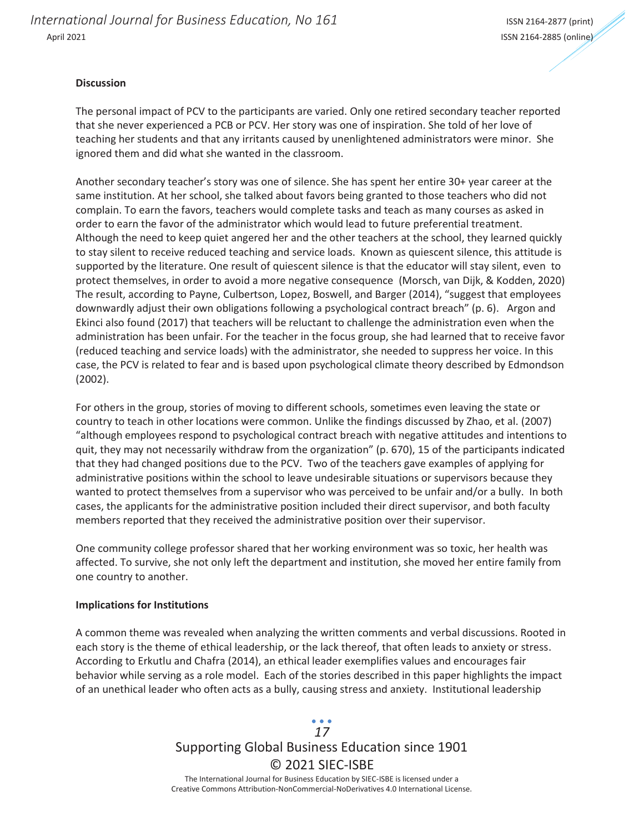*International Journal for Business Education, No 161* **International International Journal for Business Education, No 161** April 2021 ISSN 2164-2885 (online)

#### **Discussion**

The personal impact of PCV to the participants are varied. Only one retired secondary teacher reported that she never experienced a PCB or PCV. Her story was one of inspiration. She told of her love of teaching her students and that any irritants caused by unenlightened administrators were minor. She ignored them and did what she wanted in the classroom.

Another secondary teacher's story was one of silence. She has spent her entire 30+ year career at the same institution. At her school, she talked about favors being granted to those teachers who did not complain. To earn the favors, teachers would complete tasks and teach as many courses as asked in order to earn the favor of the administrator which would lead to future preferential treatment. Although the need to keep quiet angered her and the other teachers at the school, they learned quickly to stay silent to receive reduced teaching and service loads. Known as quiescent silence, this attitude is supported by the literature. One result of quiescent silence is that the educator will stay silent, even to protect themselves, in order to avoid a more negative consequence (Morsch, van Dijk, & Kodden, 2020) The result, according to Payne, Culbertson, Lopez, Boswell, and Barger (2014), "suggest that employees downwardly adjust their own obligations following a psychological contract breach" (p. 6). Argon and Ekinci also found (2017) that teachers will be reluctant to challenge the administration even when the administration has been unfair. For the teacher in the focus group, she had learned that to receive favor (reduced teaching and service loads) with the administrator, she needed to suppress her voice. In this case, the PCV is related to fear and is based upon psychological climate theory described by Edmondson (2002).

For others in the group, stories of moving to different schools, sometimes even leaving the state or country to teach in other locations were common. Unlike the findings discussed by Zhao, et al. (2007) "although employees respond to psychological contract breach with negative attitudes and intentions to quit, they may not necessarily withdraw from the organization" (p. 670), 15 of the participants indicated that they had changed positions due to the PCV. Two of the teachers gave examples of applying for administrative positions within the school to leave undesirable situations or supervisors because they wanted to protect themselves from a supervisor who was perceived to be unfair and/or a bully. In both cases, the applicants for the administrative position included their direct supervisor, and both faculty members reported that they received the administrative position over their supervisor.

One community college professor shared that her working environment was so toxic, her health was affected. To survive, she not only left the department and institution, she moved her entire family from one country to another.

#### **Implications for Institutions**

A common theme was revealed when analyzing the written comments and verbal discussions. Rooted in each story is the theme of ethical leadership, or the lack thereof, that often leads to anxiety or stress. According to Erkutlu and Chafra (2014), an ethical leader exemplifies values and encourages fair behavior while serving as a role model. Each of the stories described in this paper highlights the impact of an unethical leader who often acts as a bully, causing stress and anxiety. Institutional leadership

## Supporting Global Business Education since 1901 © 2021 SIEC-ISBE The International Journal for Business Education by SIEC-ISBE is licensed under a *17*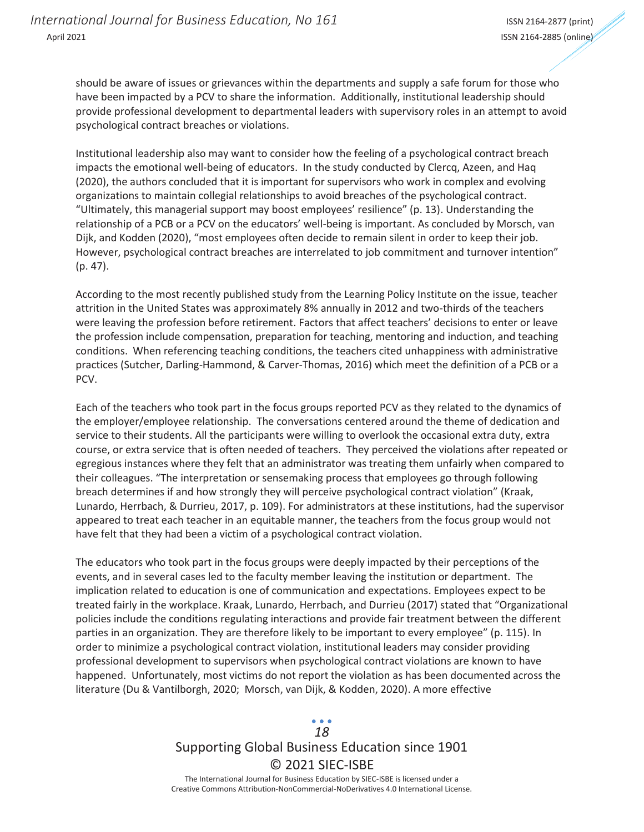should be aware of issues or grievances within the departments and supply a safe forum for those who have been impacted by a PCV to share the information. Additionally, institutional leadership should provide professional development to departmental leaders with supervisory roles in an attempt to avoid psychological contract breaches or violations.

Institutional leadership also may want to consider how the feeling of a psychological contract breach impacts the emotional well-being of educators. In the study conducted by Clercq, Azeen, and Haq (2020), the authors concluded that it is important for supervisors who work in complex and evolving organizations to maintain collegial relationships to avoid breaches of the psychological contract. "Ultimately, this managerial support may boost employees' resilience" (p. 13). Understanding the relationship of a PCB or a PCV on the educators' well-being is important. As concluded by Morsch, van Dijk, and Kodden (2020), "most employees often decide to remain silent in order to keep their job. However, psychological contract breaches are interrelated to job commitment and turnover intention" (p. 47).

According to the most recently published study from the Learning Policy Institute on the issue, teacher attrition in the United States was approximately 8% annually in 2012 and two-thirds of the teachers were leaving the profession before retirement. Factors that affect teachers' decisions to enter or leave the profession include compensation, preparation for teaching, mentoring and induction, and teaching conditions. When referencing teaching conditions, the teachers cited unhappiness with administrative practices (Sutcher, Darling-Hammond, & Carver-Thomas, 2016) which meet the definition of a PCB or a PCV.

Each of the teachers who took part in the focus groups reported PCV as they related to the dynamics of the employer/employee relationship. The conversations centered around the theme of dedication and service to their students. All the participants were willing to overlook the occasional extra duty, extra course, or extra service that is often needed of teachers. They perceived the violations after repeated or egregious instances where they felt that an administrator was treating them unfairly when compared to their colleagues. "The interpretation or sensemaking process that employees go through following breach determines if and how strongly they will perceive psychological contract violation" (Kraak, Lunardo, Herrbach, & Durrieu, 2017, p. 109). For administrators at these institutions, had the supervisor appeared to treat each teacher in an equitable manner, the teachers from the focus group would not have felt that they had been a victim of a psychological contract violation.

The educators who took part in the focus groups were deeply impacted by their perceptions of the events, and in several cases led to the faculty member leaving the institution or department. The implication related to education is one of communication and expectations. Employees expect to be treated fairly in the workplace. Kraak, Lunardo, Herrbach, and Durrieu (2017) stated that "Organizational policies include the conditions regulating interactions and provide fair treatment between the different parties in an organization. They are therefore likely to be important to every employee" (p. 115). In order to minimize a psychological contract violation, institutional leaders may consider providing professional development to supervisors when psychological contract violations are known to have happened. Unfortunately, most victims do not report the violation as has been documented across the literature (Du & Vantilborgh, 2020; Morsch, van Dijk, & Kodden, 2020). A more effective

### Supporting Global Business Education since 1901 © 2021 SIEC-ISBE The International Journal for Business Education by SIEC-ISBE is licensed under a *18*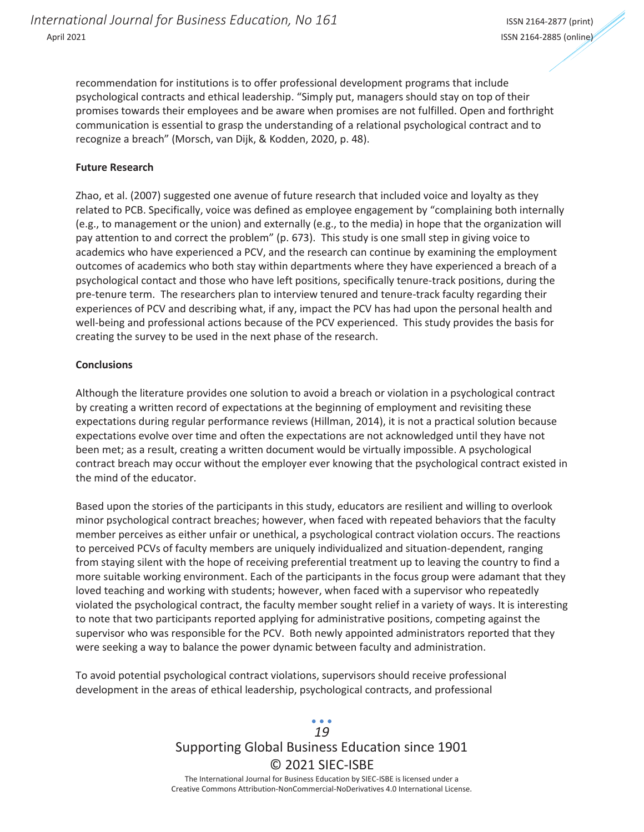recommendation for institutions is to offer professional development programs that include psychological contracts and ethical leadership. "Simply put, managers should stay on top of their promises towards their employees and be aware when promises are not fulfilled. Open and forthright communication is essential to grasp the understanding of a relational psychological contract and to recognize a breach" (Morsch, van Dijk, & Kodden, 2020, p. 48).

### **Future Research**

Zhao, et al. (2007) suggested one avenue of future research that included voice and loyalty as they related to PCB. Specifically, voice was defined as employee engagement by "complaining both internally (e.g., to management or the union) and externally (e.g., to the media) in hope that the organization will pay attention to and correct the problem" (p. 673). This study is one small step in giving voice to academics who have experienced a PCV, and the research can continue by examining the employment outcomes of academics who both stay within departments where they have experienced a breach of a psychological contact and those who have left positions, specifically tenure-track positions, during the pre-tenure term. The researchers plan to interview tenured and tenure-track faculty regarding their experiences of PCV and describing what, if any, impact the PCV has had upon the personal health and well-being and professional actions because of the PCV experienced. This study provides the basis for creating the survey to be used in the next phase of the research.

### **Conclusions**

Although the literature provides one solution to avoid a breach or violation in a psychological contract by creating a written record of expectations at the beginning of employment and revisiting these expectations during regular performance reviews (Hillman, 2014), it is not a practical solution because expectations evolve over time and often the expectations are not acknowledged until they have not been met; as a result, creating a written document would be virtually impossible. A psychological contract breach may occur without the employer ever knowing that the psychological contract existed in the mind of the educator.

Based upon the stories of the participants in this study, educators are resilient and willing to overlook minor psychological contract breaches; however, when faced with repeated behaviors that the faculty member perceives as either unfair or unethical, a psychological contract violation occurs. The reactions to perceived PCVs of faculty members are uniquely individualized and situation-dependent, ranging from staying silent with the hope of receiving preferential treatment up to leaving the country to find a more suitable working environment. Each of the participants in the focus group were adamant that they loved teaching and working with students; however, when faced with a supervisor who repeatedly violated the psychological contract, the faculty member sought relief in a variety of ways. It is interesting to note that two participants reported applying for administrative positions, competing against the supervisor who was responsible for the PCV. Both newly appointed administrators reported that they were seeking a way to balance the power dynamic between faculty and administration.

To avoid potential psychological contract violations, supervisors should receive professional development in the areas of ethical leadership, psychological contracts, and professional

# Supporting Global Business Education since 1901 © 2021 SIEC-ISBE The International Journal for Business Education by SIEC-ISBE is licensed under a *19*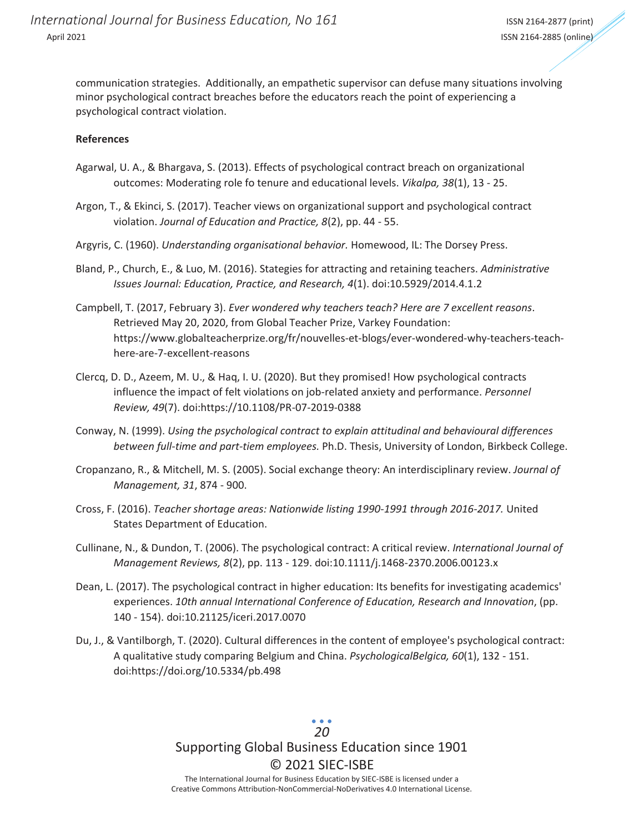communication strategies. Additionally, an empathetic supervisor can defuse many situations involving minor psychological contract breaches before the educators reach the point of experiencing a psychological contract violation.

### **References**

- Agarwal, U. A., & Bhargava, S. (2013). Effects of psychological contract breach on organizational outcomes: Moderating role fo tenure and educational levels. *Vikalpa, 38*(1), 13 - 25.
- Argon, T., & Ekinci, S. (2017). Teacher views on organizational support and psychological contract violation. *Journal of Education and Practice, 8*(2), pp. 44 - 55.
- Argyris, C. (1960). *Understanding organisational behavior.* Homewood, IL: The Dorsey Press.
- Bland, P., Church, E., & Luo, M. (2016). Stategies for attracting and retaining teachers. *Administrative Issues Journal: Education, Practice, and Research, 4*(1). doi:10.5929/2014.4.1.2
- Campbell, T. (2017, February 3). *Ever wondered why teachers teach? Here are 7 excellent reasons*. Retrieved May 20, 2020, from Global Teacher Prize, Varkey Foundation: https://www.globalteacherprize.org/fr/nouvelles-et-blogs/ever-wondered-why-teachers-teachhere-are-7-excellent-reasons
- Clercq, D. D., Azeem, M. U., & Haq, I. U. (2020). But they promised! How psychological contracts influence the impact of felt violations on job-related anxiety and performance. *Personnel Review, 49*(7). doi:https://10.1108/PR-07-2019-0388
- Conway, N. (1999). *Using the psychological contract to explain attitudinal and behavioural differences between full-time and part-tiem employees.* Ph.D. Thesis, University of London, Birkbeck College.
- Cropanzano, R., & Mitchell, M. S. (2005). Social exchange theory: An interdisciplinary review. *Journal of Management, 31*, 874 - 900.
- Cross, F. (2016). *Teacher shortage areas: Nationwide listing 1990-1991 through 2016-2017.* United States Department of Education.
- Cullinane, N., & Dundon, T. (2006). The psychological contract: A critical review. *International Journal of Management Reviews, 8*(2), pp. 113 - 129. doi:10.1111/j.1468-2370.2006.00123.x
- Dean, L. (2017). The psychological contract in higher education: Its benefits for investigating academics' experiences. *10th annual International Conference of Education, Research and Innovation*, (pp. 140 - 154). doi:10.21125/iceri.2017.0070
- Du, J., & Vantilborgh, T. (2020). Cultural differences in the content of employee's psychological contract: A qualitative study comparing Belgium and China. *PsychologicalBelgica, 60*(1), 132 - 151. doi:https://doi.org/10.5334/pb.498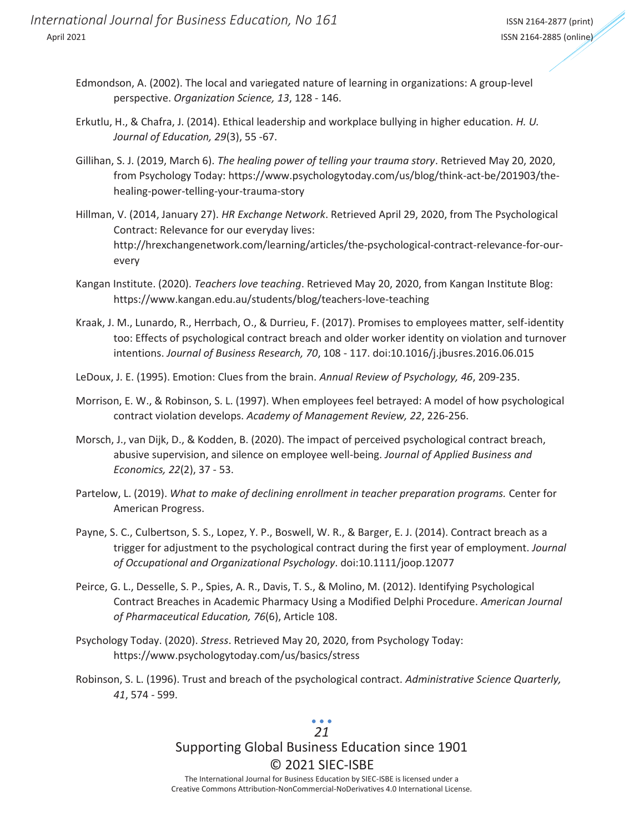- Edmondson, A. (2002). The local and variegated nature of learning in organizations: A group-level perspective. *Organization Science, 13*, 128 - 146.
- Erkutlu, H., & Chafra, J. (2014). Ethical leadership and workplace bullying in higher education. *H. U. Journal of Education, 29*(3), 55 -67.
- Gillihan, S. J. (2019, March 6). *The healing power of telling your trauma story*. Retrieved May 20, 2020, from Psychology Today: https://www.psychologytoday.com/us/blog/think-act-be/201903/thehealing-power-telling-your-trauma-story
- Hillman, V. (2014, January 27). *HR Exchange Network*. Retrieved April 29, 2020, from The Psychological Contract: Relevance for our everyday lives: http://hrexchangenetwork.com/learning/articles/the-psychological-contract-relevance-for-ourevery
- Kangan Institute. (2020). *Teachers love teaching*. Retrieved May 20, 2020, from Kangan Institute Blog: https://www.kangan.edu.au/students/blog/teachers-love-teaching
- Kraak, J. M., Lunardo, R., Herrbach, O., & Durrieu, F. (2017). Promises to employees matter, self-identity too: Effects of psychological contract breach and older worker identity on violation and turnover intentions. *Journal of Business Research, 70*, 108 - 117. doi:10.1016/j.jbusres.2016.06.015
- LeDoux, J. E. (1995). Emotion: Clues from the brain. *Annual Review of Psychology, 46*, 209-235.
- Morrison, E. W., & Robinson, S. L. (1997). When employees feel betrayed: A model of how psychological contract violation develops. *Academy of Management Review, 22*, 226-256.
- Morsch, J., van Dijk, D., & Kodden, B. (2020). The impact of perceived psychological contract breach, abusive supervision, and silence on employee well-being. *Journal of Applied Business and Economics, 22*(2), 37 - 53.
- Partelow, L. (2019). *What to make of declining enrollment in teacher preparation programs.* Center for American Progress.
- Payne, S. C., Culbertson, S. S., Lopez, Y. P., Boswell, W. R., & Barger, E. J. (2014). Contract breach as a trigger for adjustment to the psychological contract during the first year of employment. *Journal of Occupational and Organizational Psychology*. doi:10.1111/joop.12077
- Peirce, G. L., Desselle, S. P., Spies, A. R., Davis, T. S., & Molino, M. (2012). Identifying Psychological Contract Breaches in Academic Pharmacy Using a Modified Delphi Procedure. *American Journal of Pharmaceutical Education, 76*(6), Article 108.
- Psychology Today. (2020). *Stress*. Retrieved May 20, 2020, from Psychology Today: https://www.psychologytoday.com/us/basics/stress
- Robinson, S. L. (1996). Trust and breach of the psychological contract. *Administrative Science Quarterly, 41*, 574 - 599.

### Supporting Global Business Education since 1901 © 2021 SIEC-ISBE The International Journal for Business Education by SIEC-ISBE is licensed under a *21*